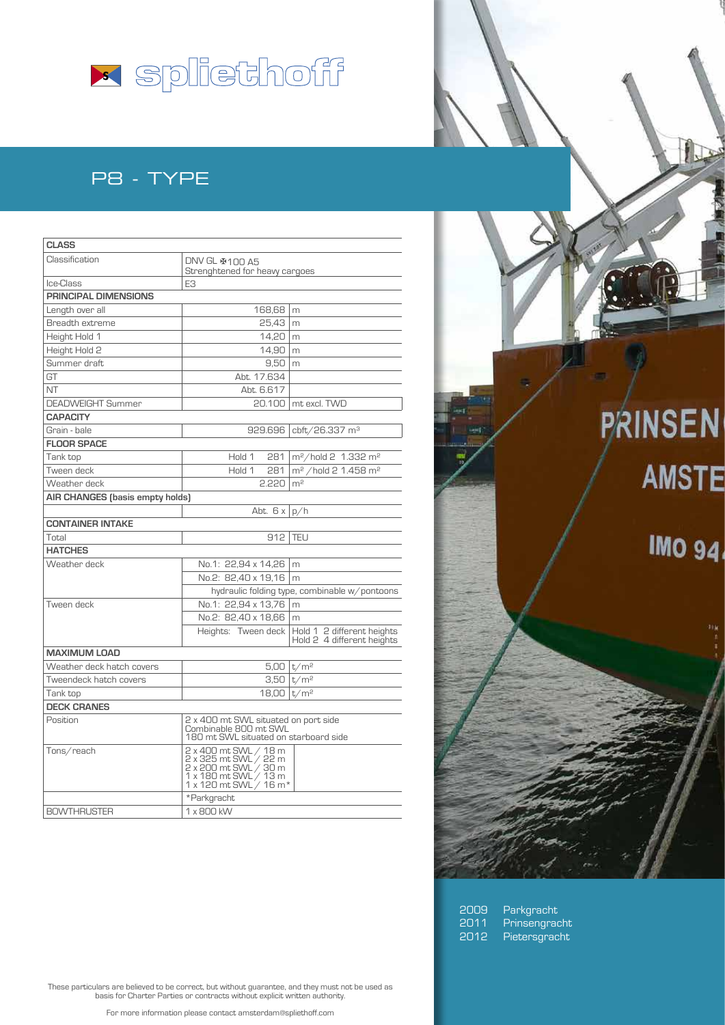

## P8 - TYPE

| <b>CLASS</b>                    |                                                                                                                            |                                                          |
|---------------------------------|----------------------------------------------------------------------------------------------------------------------------|----------------------------------------------------------|
| Classification                  | DNV GL ※100 A5<br>Strenghtened for heavy cargoes                                                                           |                                                          |
| Ice-Class                       | E <sub>3</sub>                                                                                                             |                                                          |
| <b>PRINCIPAL DIMENSIONS</b>     |                                                                                                                            |                                                          |
| Length over all                 | 168,68                                                                                                                     | m                                                        |
| Breadth extreme                 | 25.43                                                                                                                      | m                                                        |
| Height Hold 1                   | 14.20                                                                                                                      | m                                                        |
| Height Hold 2                   | 14,90                                                                                                                      | m                                                        |
| Summer draft                    | 9,50                                                                                                                       | m                                                        |
| GT                              | Abt. 17.634                                                                                                                |                                                          |
| <b>NT</b>                       | Abt. 6.617                                                                                                                 |                                                          |
| <b>DEADWEIGHT Summer</b>        |                                                                                                                            | 20.100   mt excl. TWD                                    |
| <b>CAPACITY</b>                 |                                                                                                                            |                                                          |
| Grain - bale                    | 929.696                                                                                                                    | cbft/26.337 m <sup>3</sup>                               |
| <b>FLOOR SPACE</b>              |                                                                                                                            |                                                          |
| Tank top                        | Hold 1<br>281                                                                                                              | m <sup>2</sup> /hold 2 1.332 m <sup>2</sup>              |
| Tween deck                      | Hold 1<br>281                                                                                                              | m <sup>2</sup> /hold 2 1.458 m <sup>2</sup>              |
| Weather deck                    | 2.220                                                                                                                      | m <sup>2</sup>                                           |
| AIR CHANGES (basis empty holds) |                                                                                                                            |                                                          |
|                                 | Abt. $6x p/h$                                                                                                              |                                                          |
| <b>CONTAINER INTAKE</b>         |                                                                                                                            |                                                          |
| Total                           | 912                                                                                                                        | <b>TEU</b>                                               |
| <b>HATCHES</b>                  |                                                                                                                            |                                                          |
| Weather deck                    | No.1: 22,94 x 14,26                                                                                                        | m                                                        |
|                                 | No.2: 82.40 x 19.16                                                                                                        | m                                                        |
|                                 |                                                                                                                            | hydraulic folding type, combinable w/pontoons            |
| Tween deck                      | No.1: 22.94 x 13.76                                                                                                        | m                                                        |
|                                 | No.2: 82,40 x 18,66                                                                                                        | m                                                        |
|                                 | Heights: Tween deck                                                                                                        | Hold 1 2 different heights<br>Hold 2 4 different heights |
| <b>MAXIMUM LOAD</b>             |                                                                                                                            |                                                          |
| Weather deck hatch covers       |                                                                                                                            | 5.00   t/m <sup>2</sup>                                  |
| Tweendeck hatch covers          |                                                                                                                            | $3,50 \mid t/m^2$                                        |
| Tank top                        | $18,00 \mid t/m^2$                                                                                                         |                                                          |
| <b>DECK CRANES</b>              |                                                                                                                            |                                                          |
| Position                        | 2 x 400 mt SWL situated on port side<br>Combinable 800 mt SWL<br>180 mt SWL situated on starboard side                     |                                                          |
| Tons/reach                      | 2 x 400 mt SWL / 18 m<br>2 x 325 mt SWL / 22 m<br>2 x 200 mt SWL / 30 m<br>1 x 180 mt SWL / 13 m<br>1 x 120 mt SWL / 16 m* |                                                          |
|                                 | *Parkgracht                                                                                                                |                                                          |
| <b>BOWTHRUSTER</b>              | 1 x 800 kW                                                                                                                 |                                                          |

10 **PRINSEN AMSTE IMO 94** 

2009 Parkgracht<br>2011 Prinsengrac<br>2012 Pietersgrac Prinsengracht Pietersgracht

These particulars are believed to be correct, but without guarantee, and they must not be used as basis for Charter Parties or contracts without explicit written authority.